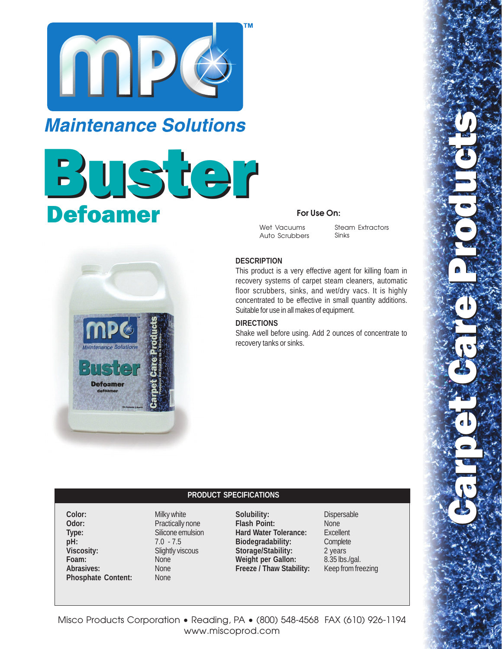

## **Maintenance Solutions**

# Buster Defoamer



### **For Use On:**

Wet Vacuums Auto Scrubbers

Steam Extractors Sinks

#### **DESCRIPTION**

This product is a very effective agent for killing foam in recovery systems of carpet steam cleaners, automatic floor scrubbers, sinks, and wet/dry vacs. It is highly concentrated to be effective in small quantity additions. Suitable for use in all makes of equipment.

#### **DIRECTIONS**

Shake well before using. Add 2 ounces of concentrate to recovery tanks or sinks.

#### **PRODUCT SPECIFICATIONS**

**Color:** Milky white **Odor:** Practically none **Type:** Silicone emulsion **pH:** 7.0 - 7.5<br>Viscosity: Slightly vis Foam: Abrasives: None **Phosphate Content:** None

**Slightly viscous**<br>None

**Solubility:** Dispersable **Flash Point:** None **Hard Water Tolerance:** Excellent<br> **Biodegradability:** Complete **Biodegradability: Storage/Stability:** 2 years Weight per Gallon: 8.35 lbs./gal. **Freeze / Thaw Stability:** Keep from freezing

Misco Products Corporation • Reading, PA • (800) 548-4568 FAX (610) 926-1194 www.miscoprod.com